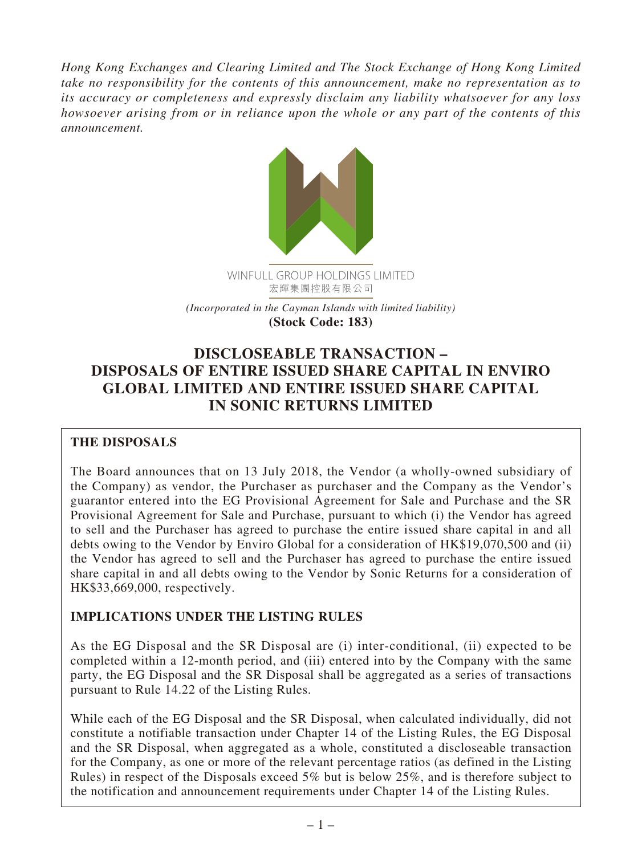*Hong Kong Exchanges and Clearing Limited and The Stock Exchange of Hong Kong Limited take no responsibility for the contents of this announcement, make no representation as to its accuracy or completeness and expressly disclaim any liability whatsoever for any loss howsoever arising from or in reliance upon the whole or any part of the contents of this announcement.*



*(Incorporated in the Cayman Islands with limited liability)* **(Stock Code: 183)**

# **DISCLOSEABLE TRANSACTION – DISPOSALS OF ENTIRE ISSUED SHARE CAPITAL IN ENVIRO GLOBAL LIMITED AND ENTIRE ISSUED SHARE CAPITAL IN SONIC RETURNS LIMITED**

## **THE DISPOSALS**

The Board announces that on 13 July 2018, the Vendor (a wholly-owned subsidiary of the Company) as vendor, the Purchaser as purchaser and the Company as the Vendor's guarantor entered into the EG Provisional Agreement for Sale and Purchase and the SR Provisional Agreement for Sale and Purchase, pursuant to which (i) the Vendor has agreed to sell and the Purchaser has agreed to purchase the entire issued share capital in and all debts owing to the Vendor by Enviro Global for a consideration of HK\$19,070,500 and (ii) the Vendor has agreed to sell and the Purchaser has agreed to purchase the entire issued share capital in and all debts owing to the Vendor by Sonic Returns for a consideration of HK\$33,669,000, respectively.

## **IMPLICATIONS UNDER THE LISTING RULES**

As the EG Disposal and the SR Disposal are (i) inter-conditional, (ii) expected to be completed within a 12-month period, and (iii) entered into by the Company with the same party, the EG Disposal and the SR Disposal shall be aggregated as a series of transactions pursuant to Rule 14.22 of the Listing Rules.

While each of the EG Disposal and the SR Disposal, when calculated individually, did not constitute a notifiable transaction under Chapter 14 of the Listing Rules, the EG Disposal and the SR Disposal, when aggregated as a whole, constituted a discloseable transaction for the Company, as one or more of the relevant percentage ratios (as defined in the Listing Rules) in respect of the Disposals exceed 5% but is below 25%, and is therefore subject to the notification and announcement requirements under Chapter 14 of the Listing Rules.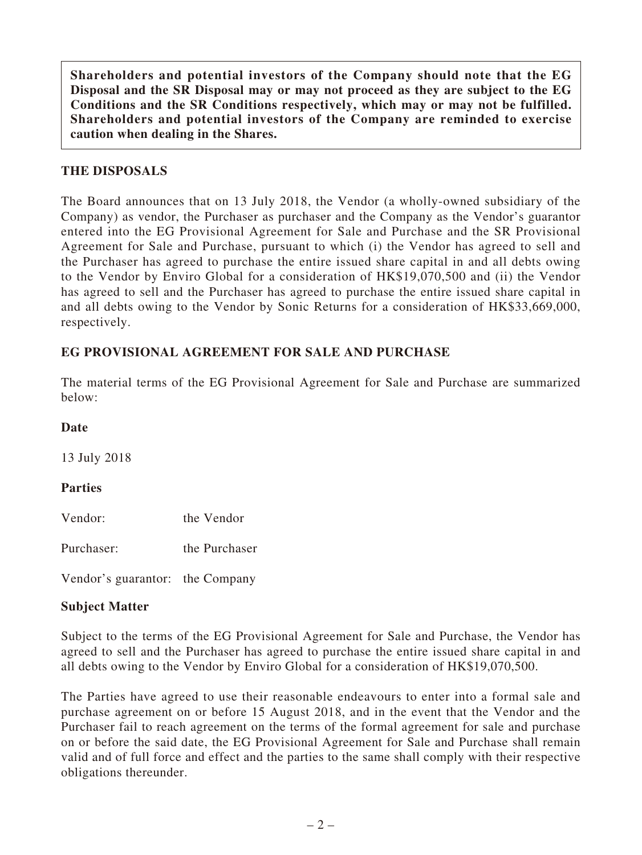**Shareholders and potential investors of the Company should note that the EG Disposal and the SR Disposal may or may not proceed as they are subject to the EG Conditions and the SR Conditions respectively, which may or may not be fulfilled. Shareholders and potential investors of the Company are reminded to exercise caution when dealing in the Shares.**

## **THE DISPOSALS**

The Board announces that on 13 July 2018, the Vendor (a wholly-owned subsidiary of the Company) as vendor, the Purchaser as purchaser and the Company as the Vendor's guarantor entered into the EG Provisional Agreement for Sale and Purchase and the SR Provisional Agreement for Sale and Purchase, pursuant to which (i) the Vendor has agreed to sell and the Purchaser has agreed to purchase the entire issued share capital in and all debts owing to the Vendor by Enviro Global for a consideration of HK\$19,070,500 and (ii) the Vendor has agreed to sell and the Purchaser has agreed to purchase the entire issued share capital in and all debts owing to the Vendor by Sonic Returns for a consideration of HK\$33,669,000, respectively.

## **EG PROVISIONAL AGREEMENT FOR SALE AND PURCHASE**

The material terms of the EG Provisional Agreement for Sale and Purchase are summarized below:

#### **Date**

13 July 2018

#### **Parties**

Vendor: the Vendor

Purchaser: the Purchaser

Vendor's guarantor: the Company

#### **Subject Matter**

Subject to the terms of the EG Provisional Agreement for Sale and Purchase, the Vendor has agreed to sell and the Purchaser has agreed to purchase the entire issued share capital in and all debts owing to the Vendor by Enviro Global for a consideration of HK\$19,070,500.

The Parties have agreed to use their reasonable endeavours to enter into a formal sale and purchase agreement on or before 15 August 2018, and in the event that the Vendor and the Purchaser fail to reach agreement on the terms of the formal agreement for sale and purchase on or before the said date, the EG Provisional Agreement for Sale and Purchase shall remain valid and of full force and effect and the parties to the same shall comply with their respective obligations thereunder.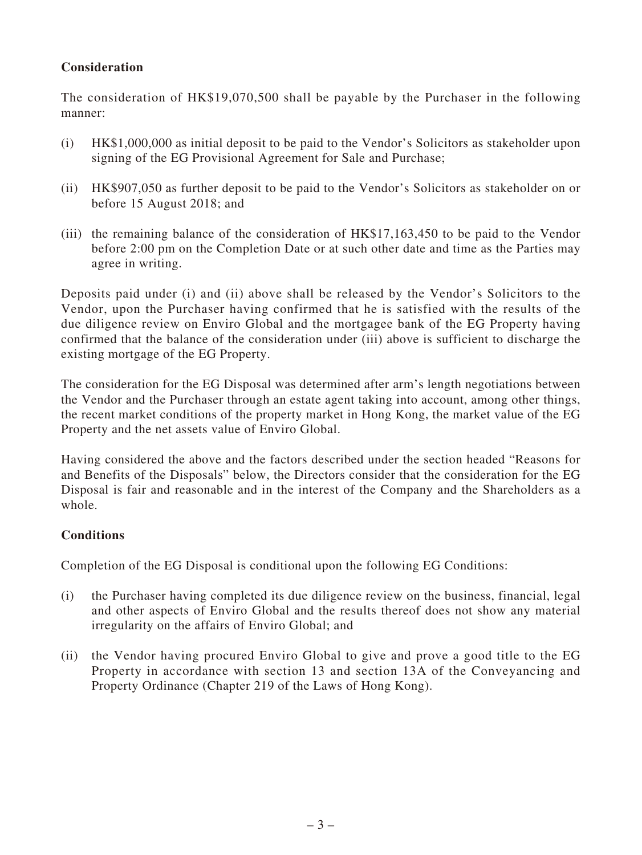## **Consideration**

The consideration of HK\$19,070,500 shall be payable by the Purchaser in the following manner:

- (i) HK\$1,000,000 as initial deposit to be paid to the Vendor's Solicitors as stakeholder upon signing of the EG Provisional Agreement for Sale and Purchase;
- (ii) HK\$907,050 as further deposit to be paid to the Vendor's Solicitors as stakeholder on or before 15 August 2018; and
- (iii) the remaining balance of the consideration of HK\$17,163,450 to be paid to the Vendor before 2:00 pm on the Completion Date or at such other date and time as the Parties may agree in writing.

Deposits paid under (i) and (ii) above shall be released by the Vendor's Solicitors to the Vendor, upon the Purchaser having confirmed that he is satisfied with the results of the due diligence review on Enviro Global and the mortgagee bank of the EG Property having confirmed that the balance of the consideration under (iii) above is sufficient to discharge the existing mortgage of the EG Property.

The consideration for the EG Disposal was determined after arm's length negotiations between the Vendor and the Purchaser through an estate agent taking into account, among other things, the recent market conditions of the property market in Hong Kong, the market value of the EG Property and the net assets value of Enviro Global.

Having considered the above and the factors described under the section headed "Reasons for and Benefits of the Disposals" below, the Directors consider that the consideration for the EG Disposal is fair and reasonable and in the interest of the Company and the Shareholders as a whole.

## **Conditions**

Completion of the EG Disposal is conditional upon the following EG Conditions:

- (i) the Purchaser having completed its due diligence review on the business, financial, legal and other aspects of Enviro Global and the results thereof does not show any material irregularity on the affairs of Enviro Global; and
- (ii) the Vendor having procured Enviro Global to give and prove a good title to the EG Property in accordance with section 13 and section 13A of the Conveyancing and Property Ordinance (Chapter 219 of the Laws of Hong Kong).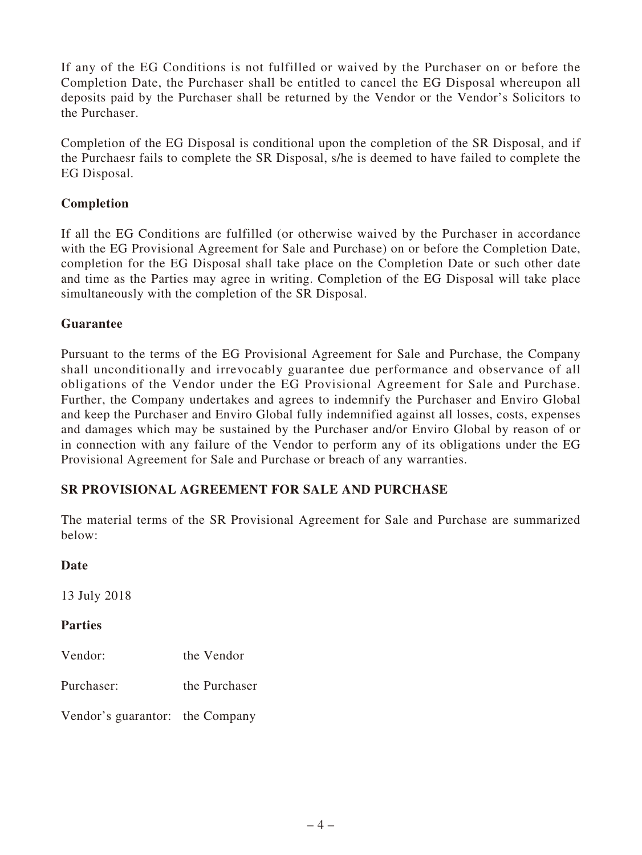If any of the EG Conditions is not fulfilled or waived by the Purchaser on or before the Completion Date, the Purchaser shall be entitled to cancel the EG Disposal whereupon all deposits paid by the Purchaser shall be returned by the Vendor or the Vendor's Solicitors to the Purchaser.

Completion of the EG Disposal is conditional upon the completion of the SR Disposal, and if the Purchaesr fails to complete the SR Disposal, s/he is deemed to have failed to complete the EG Disposal.

## **Completion**

If all the EG Conditions are fulfilled (or otherwise waived by the Purchaser in accordance with the EG Provisional Agreement for Sale and Purchase) on or before the Completion Date, completion for the EG Disposal shall take place on the Completion Date or such other date and time as the Parties may agree in writing. Completion of the EG Disposal will take place simultaneously with the completion of the SR Disposal.

## **Guarantee**

Pursuant to the terms of the EG Provisional Agreement for Sale and Purchase, the Company shall unconditionally and irrevocably guarantee due performance and observance of all obligations of the Vendor under the EG Provisional Agreement for Sale and Purchase. Further, the Company undertakes and agrees to indemnify the Purchaser and Enviro Global and keep the Purchaser and Enviro Global fully indemnified against all losses, costs, expenses and damages which may be sustained by the Purchaser and/or Enviro Global by reason of or in connection with any failure of the Vendor to perform any of its obligations under the EG Provisional Agreement for Sale and Purchase or breach of any warranties.

## **SR PROVISIONAL AGREEMENT FOR SALE AND PURCHASE**

The material terms of the SR Provisional Agreement for Sale and Purchase are summarized below:

## **Date**

13 July 2018

#### **Parties**

Vendor: the Vendor

Purchaser: the Purchaser

Vendor's guarantor: the Company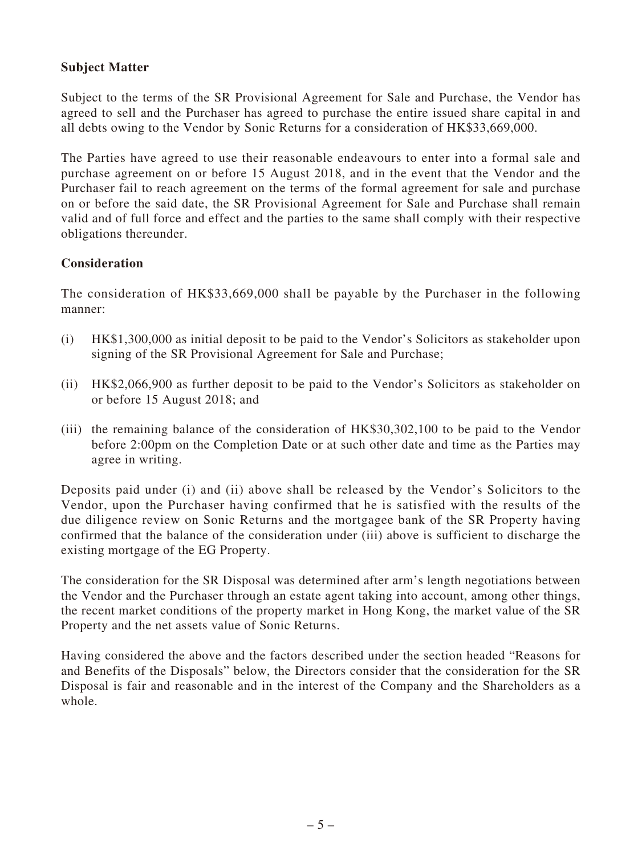## **Subject Matter**

Subject to the terms of the SR Provisional Agreement for Sale and Purchase, the Vendor has agreed to sell and the Purchaser has agreed to purchase the entire issued share capital in and all debts owing to the Vendor by Sonic Returns for a consideration of HK\$33,669,000.

The Parties have agreed to use their reasonable endeavours to enter into a formal sale and purchase agreement on or before 15 August 2018, and in the event that the Vendor and the Purchaser fail to reach agreement on the terms of the formal agreement for sale and purchase on or before the said date, the SR Provisional Agreement for Sale and Purchase shall remain valid and of full force and effect and the parties to the same shall comply with their respective obligations thereunder.

## **Consideration**

The consideration of HK\$33,669,000 shall be payable by the Purchaser in the following manner:

- (i) HK\$1,300,000 as initial deposit to be paid to the Vendor's Solicitors as stakeholder upon signing of the SR Provisional Agreement for Sale and Purchase;
- (ii) HK\$2,066,900 as further deposit to be paid to the Vendor's Solicitors as stakeholder on or before 15 August 2018; and
- (iii) the remaining balance of the consideration of HK\$30,302,100 to be paid to the Vendor before 2:00pm on the Completion Date or at such other date and time as the Parties may agree in writing.

Deposits paid under (i) and (ii) above shall be released by the Vendor's Solicitors to the Vendor, upon the Purchaser having confirmed that he is satisfied with the results of the due diligence review on Sonic Returns and the mortgagee bank of the SR Property having confirmed that the balance of the consideration under (iii) above is sufficient to discharge the existing mortgage of the EG Property.

The consideration for the SR Disposal was determined after arm's length negotiations between the Vendor and the Purchaser through an estate agent taking into account, among other things, the recent market conditions of the property market in Hong Kong, the market value of the SR Property and the net assets value of Sonic Returns.

Having considered the above and the factors described under the section headed "Reasons for and Benefits of the Disposals" below, the Directors consider that the consideration for the SR Disposal is fair and reasonable and in the interest of the Company and the Shareholders as a whole.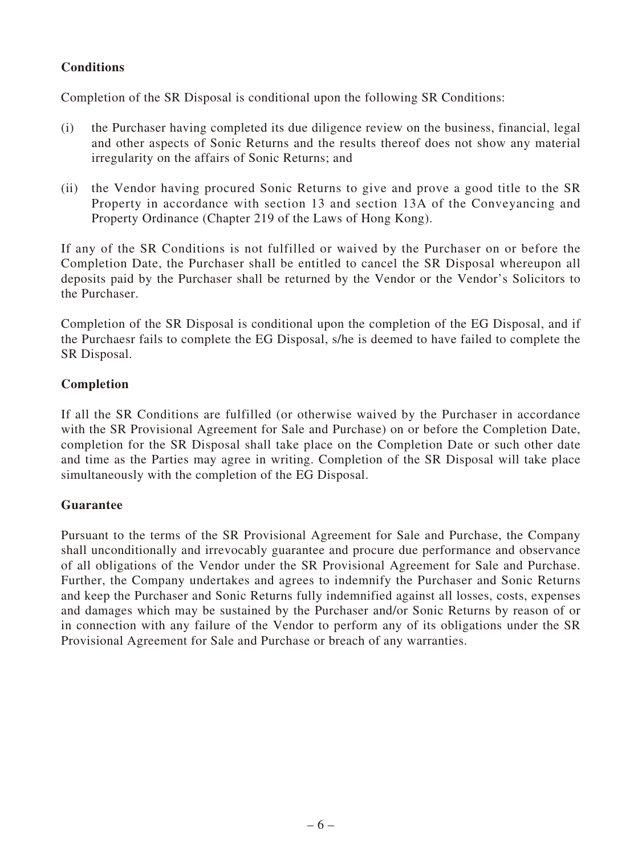## **Conditions**

Completion of the SR Disposal is conditional upon the following SR Conditions:

- (i) the Purchaser having completed its due diligence review on the business, financial, legal and other aspects of Sonic Returns and the results thereof does not show any material irregularity on the affairs of Sonic Returns; and
- (ii) the Vendor having procured Sonic Returns to give and prove a good title to the SR Property in accordance with section 13 and section 13A of the Conveyancing and Property Ordinance (Chapter 219 of the Laws of Hong Kong).

If any of the SR Conditions is not fulfilled or waived by the Purchaser on or before the Completion Date, the Purchaser shall be entitled to cancel the SR Disposal whereupon all deposits paid by the Purchaser shall be returned by the Vendor or the Vendor's Solicitors to the Purchaser.

Completion of the SR Disposal is conditional upon the completion of the EG Disposal, and if the Purchaesr fails to complete the EG Disposal, s/he is deemed to have failed to complete the SR Disposal.

## **Completion**

If all the SR Conditions are fulfilled (or otherwise waived by the Purchaser in accordance with the SR Provisional Agreement for Sale and Purchase) on or before the Completion Date, completion for the SR Disposal shall take place on the Completion Date or such other date and time as the Parties may agree in writing. Completion of the SR Disposal will take place simultaneously with the completion of the EG Disposal.

## **Guarantee**

Pursuant to the terms of the SR Provisional Agreement for Sale and Purchase, the Company shall unconditionally and irrevocably guarantee and procure due performance and observance of all obligations of the Vendor under the SR Provisional Agreement for Sale and Purchase. Further, the Company undertakes and agrees to indemnify the Purchaser and Sonic Returns and keep the Purchaser and Sonic Returns fully indemnified against all losses, costs, expenses and damages which may be sustained by the Purchaser and/or Sonic Returns by reason of or in connection with any failure of the Vendor to perform any of its obligations under the SR Provisional Agreement for Sale and Purchase or breach of any warranties.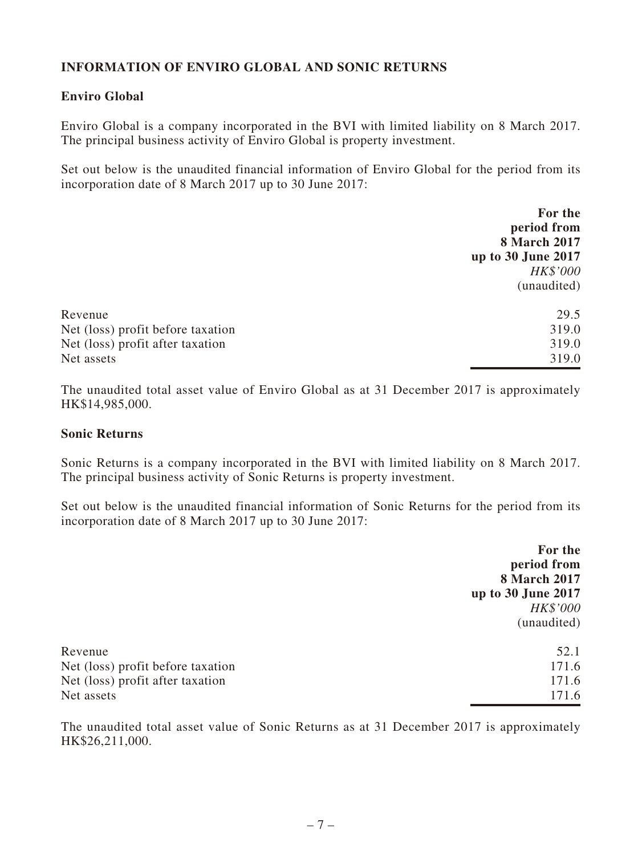## **INFORMATION OF ENVIRO GLOBAL AND SONIC RETURNS**

#### **Enviro Global**

Enviro Global is a company incorporated in the BVI with limited liability on 8 March 2017. The principal business activity of Enviro Global is property investment.

Set out below is the unaudited financial information of Enviro Global for the period from its incorporation date of 8 March 2017 up to 30 June 2017:

|                                   | For the             |
|-----------------------------------|---------------------|
|                                   | period from         |
|                                   | <b>8 March 2017</b> |
|                                   | up to 30 June 2017  |
|                                   | HK\$'000            |
|                                   | (unaudited)         |
| Revenue                           | 29.5                |
| Net (loss) profit before taxation | 319.0               |
| Net (loss) profit after taxation  | 319.0               |
| Net assets                        | 319.0               |

The unaudited total asset value of Enviro Global as at 31 December 2017 is approximately HK\$14,985,000.

#### **Sonic Returns**

Sonic Returns is a company incorporated in the BVI with limited liability on 8 March 2017. The principal business activity of Sonic Returns is property investment.

Set out below is the unaudited financial information of Sonic Returns for the period from its incorporation date of 8 March 2017 up to 30 June 2017:

|                                   | For the             |
|-----------------------------------|---------------------|
|                                   | period from         |
|                                   | <b>8 March 2017</b> |
|                                   | up to 30 June 2017  |
|                                   | HK\$'000            |
|                                   | (unaudited)         |
| Revenue                           | 52.1                |
| Net (loss) profit before taxation | 171.6               |
| Net (loss) profit after taxation  | 171.6               |
| Net assets                        | 171.6               |

The unaudited total asset value of Sonic Returns as at 31 December 2017 is approximately HK\$26,211,000.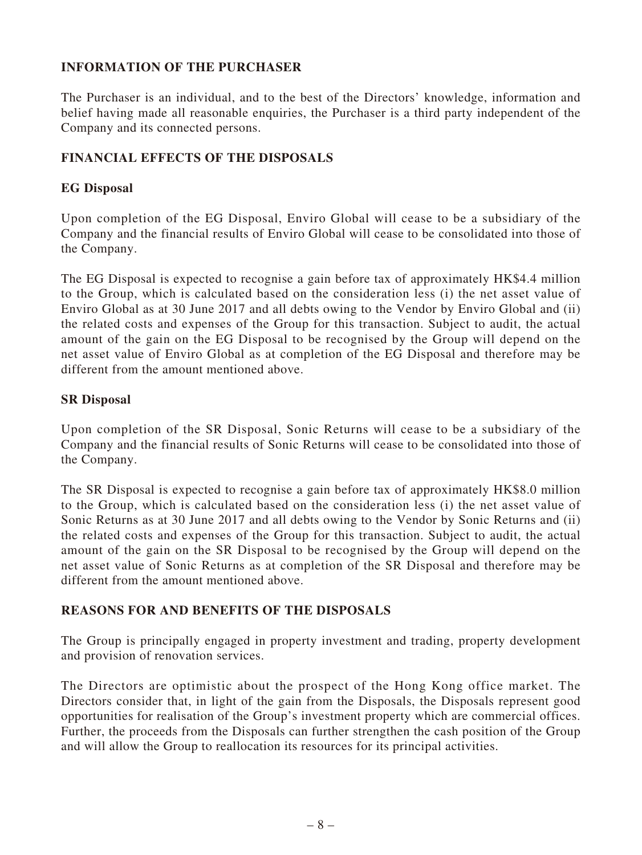## **INFORMATION OF THE PURCHASER**

The Purchaser is an individual, and to the best of the Directors' knowledge, information and belief having made all reasonable enquiries, the Purchaser is a third party independent of the Company and its connected persons.

## **FINANCIAL EFFECTS OF THE DISPOSALS**

## **EG Disposal**

Upon completion of the EG Disposal, Enviro Global will cease to be a subsidiary of the Company and the financial results of Enviro Global will cease to be consolidated into those of the Company.

The EG Disposal is expected to recognise a gain before tax of approximately HK\$4.4 million to the Group, which is calculated based on the consideration less (i) the net asset value of Enviro Global as at 30 June 2017 and all debts owing to the Vendor by Enviro Global and (ii) the related costs and expenses of the Group for this transaction. Subject to audit, the actual amount of the gain on the EG Disposal to be recognised by the Group will depend on the net asset value of Enviro Global as at completion of the EG Disposal and therefore may be different from the amount mentioned above.

## **SR Disposal**

Upon completion of the SR Disposal, Sonic Returns will cease to be a subsidiary of the Company and the financial results of Sonic Returns will cease to be consolidated into those of the Company.

The SR Disposal is expected to recognise a gain before tax of approximately HK\$8.0 million to the Group, which is calculated based on the consideration less (i) the net asset value of Sonic Returns as at 30 June 2017 and all debts owing to the Vendor by Sonic Returns and (ii) the related costs and expenses of the Group for this transaction. Subject to audit, the actual amount of the gain on the SR Disposal to be recognised by the Group will depend on the net asset value of Sonic Returns as at completion of the SR Disposal and therefore may be different from the amount mentioned above.

## **REASONS FOR AND BENEFITS OF THE DISPOSALS**

The Group is principally engaged in property investment and trading, property development and provision of renovation services.

The Directors are optimistic about the prospect of the Hong Kong office market. The Directors consider that, in light of the gain from the Disposals, the Disposals represent good opportunities for realisation of the Group's investment property which are commercial offices. Further, the proceeds from the Disposals can further strengthen the cash position of the Group and will allow the Group to reallocation its resources for its principal activities.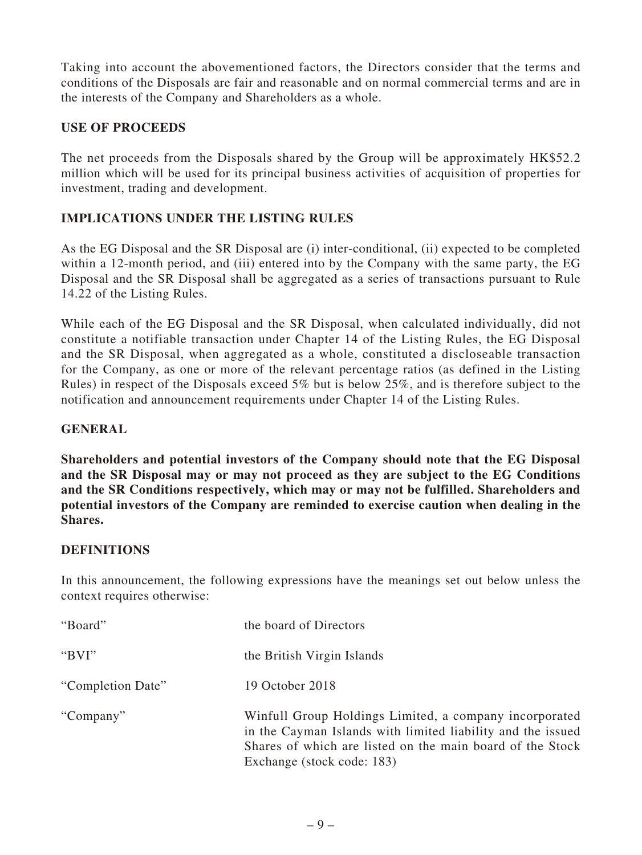Taking into account the abovementioned factors, the Directors consider that the terms and conditions of the Disposals are fair and reasonable and on normal commercial terms and are in the interests of the Company and Shareholders as a whole.

## **USE OF PROCEEDS**

The net proceeds from the Disposals shared by the Group will be approximately HK\$52.2 million which will be used for its principal business activities of acquisition of properties for investment, trading and development.

## **IMPLICATIONS UNDER THE LISTING RULES**

As the EG Disposal and the SR Disposal are (i) inter-conditional, (ii) expected to be completed within a 12-month period, and (iii) entered into by the Company with the same party, the EG Disposal and the SR Disposal shall be aggregated as a series of transactions pursuant to Rule 14.22 of the Listing Rules.

While each of the EG Disposal and the SR Disposal, when calculated individually, did not constitute a notifiable transaction under Chapter 14 of the Listing Rules, the EG Disposal and the SR Disposal, when aggregated as a whole, constituted a discloseable transaction for the Company, as one or more of the relevant percentage ratios (as defined in the Listing Rules) in respect of the Disposals exceed 5% but is below 25%, and is therefore subject to the notification and announcement requirements under Chapter 14 of the Listing Rules.

#### **GENERAL**

**Shareholders and potential investors of the Company should note that the EG Disposal and the SR Disposal may or may not proceed as they are subject to the EG Conditions and the SR Conditions respectively, which may or may not be fulfilled. Shareholders and potential investors of the Company are reminded to exercise caution when dealing in the Shares.**

## **DEFINITIONS**

In this announcement, the following expressions have the meanings set out below unless the context requires otherwise:

| "Board"           | the board of Directors                                                                                                                                                                                           |
|-------------------|------------------------------------------------------------------------------------------------------------------------------------------------------------------------------------------------------------------|
| " $BVI"$          | the British Virgin Islands                                                                                                                                                                                       |
| "Completion Date" | 19 October 2018                                                                                                                                                                                                  |
| "Company"         | Winfull Group Holdings Limited, a company incorporated<br>in the Cayman Islands with limited liability and the issued<br>Shares of which are listed on the main board of the Stock<br>Exchange (stock code: 183) |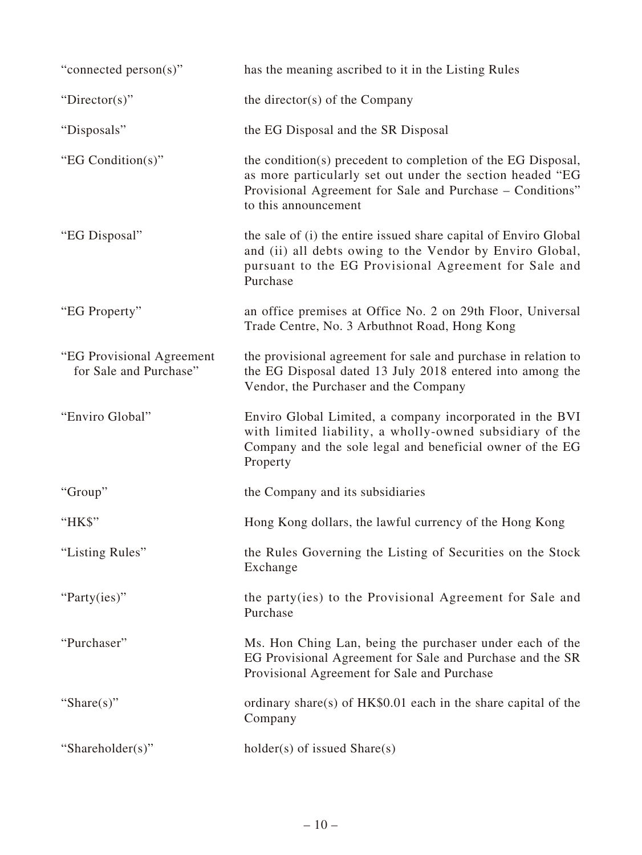| "connected person(s)"                               | has the meaning ascribed to it in the Listing Rules                                                                                                                                                            |
|-----------------------------------------------------|----------------------------------------------------------------------------------------------------------------------------------------------------------------------------------------------------------------|
| "Director(s)"                                       | the director( $s$ ) of the Company                                                                                                                                                                             |
| "Disposals"                                         | the EG Disposal and the SR Disposal                                                                                                                                                                            |
| "EG Condition(s)"                                   | the condition(s) precedent to completion of the EG Disposal,<br>as more particularly set out under the section headed "EG<br>Provisional Agreement for Sale and Purchase – Conditions"<br>to this announcement |
| "EG Disposal"                                       | the sale of (i) the entire issued share capital of Enviro Global<br>and (ii) all debts owing to the Vendor by Enviro Global,<br>pursuant to the EG Provisional Agreement for Sale and<br>Purchase              |
| "EG Property"                                       | an office premises at Office No. 2 on 29th Floor, Universal<br>Trade Centre, No. 3 Arbuthnot Road, Hong Kong                                                                                                   |
| "EG Provisional Agreement<br>for Sale and Purchase" | the provisional agreement for sale and purchase in relation to<br>the EG Disposal dated 13 July 2018 entered into among the<br>Vendor, the Purchaser and the Company                                           |
| "Enviro Global"                                     | Enviro Global Limited, a company incorporated in the BVI<br>with limited liability, a wholly-owned subsidiary of the<br>Company and the sole legal and beneficial owner of the EG<br>Property                  |
| "Group"                                             | the Company and its subsidiaries                                                                                                                                                                               |
| "HK\$"                                              | Hong Kong dollars, the lawful currency of the Hong Kong                                                                                                                                                        |
| "Listing Rules"                                     | the Rules Governing the Listing of Securities on the Stock<br>Exchange                                                                                                                                         |
| "Party(ies)"                                        | the party(ies) to the Provisional Agreement for Sale and<br>Purchase                                                                                                                                           |
| "Purchaser"                                         | Ms. Hon Ching Lan, being the purchaser under each of the<br>EG Provisional Agreement for Sale and Purchase and the SR<br>Provisional Agreement for Sale and Purchase                                           |
| "Share $(s)$ "                                      | ordinary share(s) of $HK$0.01$ each in the share capital of the<br>Company                                                                                                                                     |
| "Shareholder(s)"                                    | $holder(s)$ of issued $Share(s)$                                                                                                                                                                               |